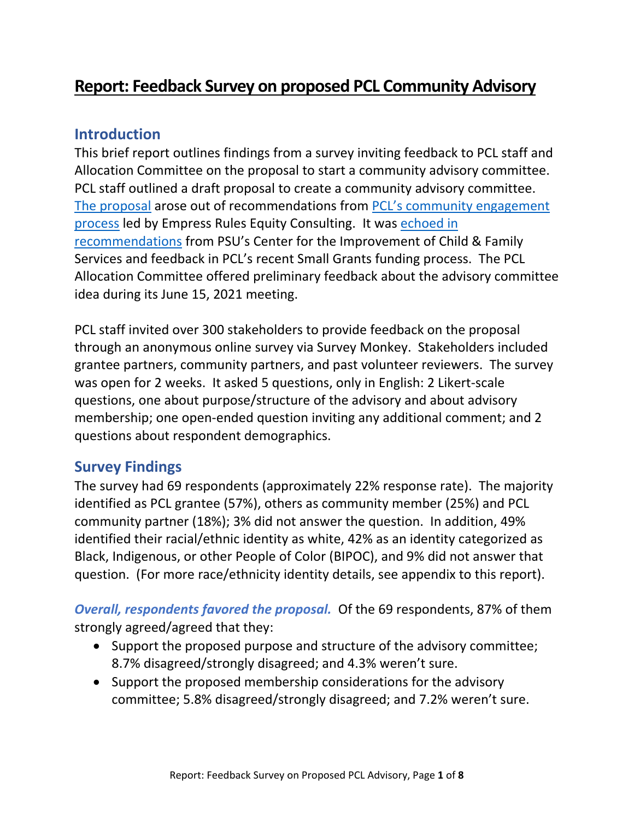# **Report: Feedback Survey on proposed PCL Community Advisory**

## **Introduction**

This brief report outlines findings from a survey inviting feedback to PCL staff and Allocation Committee on the proposal to start a community advisory committee. PCL staff outlined a draft proposal to create a community advisory committee. [The proposal](https://www.portlandchildrenslevy.org/sites/default/files/documents/Advisory%20Committee%20Proposal.DRAFT%20.pdf) arose out of recommendations from [PCL's community engagement](https://www.portlandchildrenslevy.org/sites/default/files/documents/Portland%20Children%27s%20Levy%20Report.pdf)  [process](https://www.portlandchildrenslevy.org/sites/default/files/documents/Portland%20Children%27s%20Levy%20Report.pdf) led by Empress Rules Equity Consulting. It was [echoed in](https://www.portlandchildrenslevy.org/report/grantmaking-improvement-reports)  [recommendations](https://www.portlandchildrenslevy.org/report/grantmaking-improvement-reports) from PSU's Center for the Improvement of Child & Family Services and feedback in PCL's recent Small Grants funding process. The PCL Allocation Committee offered preliminary feedback about the advisory committee idea during its June 15, 2021 meeting.

PCL staff invited over 300 stakeholders to provide feedback on the proposal through an anonymous online survey via Survey Monkey. Stakeholders included grantee partners, community partners, and past volunteer reviewers. The survey was open for 2 weeks. It asked 5 questions, only in English: 2 Likert-scale questions, one about purpose/structure of the advisory and about advisory membership; one open-ended question inviting any additional comment; and 2 questions about respondent demographics.

## **Survey Findings**

The survey had 69 respondents (approximately 22% response rate). The majority identified as PCL grantee (57%), others as community member (25%) and PCL community partner (18%); 3% did not answer the question. In addition, 49% identified their racial/ethnic identity as white, 42% as an identity categorized as Black, Indigenous, or other People of Color (BIPOC), and 9% did not answer that question. (For more race/ethnicity identity details, see appendix to this report).

*Overall, respondents favored the proposal.* Of the 69 respondents, 87% of them strongly agreed/agreed that they:

- Support the proposed purpose and structure of the advisory committee; 8.7% disagreed/strongly disagreed; and 4.3% weren't sure.
- Support the proposed membership considerations for the advisory committee; 5.8% disagreed/strongly disagreed; and 7.2% weren't sure.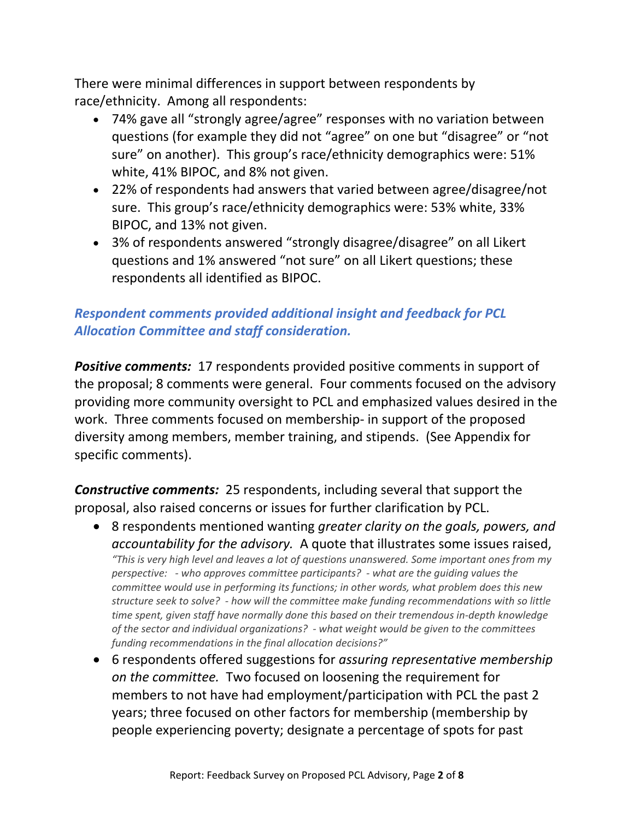There were minimal differences in support between respondents by race/ethnicity. Among all respondents:

- 74% gave all "strongly agree/agree" responses with no variation between questions (for example they did not "agree" on one but "disagree" or "not sure" on another). This group's race/ethnicity demographics were: 51% white, 41% BIPOC, and 8% not given.
- 22% of respondents had answers that varied between agree/disagree/not sure. This group's race/ethnicity demographics were: 53% white, 33% BIPOC, and 13% not given.
- 3% of respondents answered "strongly disagree/disagree" on all Likert questions and 1% answered "not sure" on all Likert questions; these respondents all identified as BIPOC.

## *Respondent comments provided additional insight and feedback for PCL Allocation Committee and staff consideration.*

*Positive comments:* 17 respondents provided positive comments in support of the proposal; 8 comments were general. Four comments focused on the advisory providing more community oversight to PCL and emphasized values desired in the work. Three comments focused on membership- in support of the proposed diversity among members, member training, and stipends. (See Appendix for specific comments).

*Constructive comments:* 25 respondents, including several that support the proposal, also raised concerns or issues for further clarification by PCL.

- 8 respondents mentioned wanting *greater clarity on the goals, powers, and accountability for the advisory.* A quote that illustrates some issues raised, *"This is very high level and leaves a lot of questions unanswered. Some important ones from my perspective: - who approves committee participants? - what are the guiding values the committee would use in performing its functions; in other words, what problem does this new structure seek to solve? - how will the committee make funding recommendations with so little time spent, given staff have normally done this based on their tremendous in-depth knowledge of the sector and individual organizations? - what weight would be given to the committees funding recommendations in the final allocation decisions?"*
- 6 respondents offered suggestions for *assuring representative membership on the committee.* Two focused on loosening the requirement for members to not have had employment/participation with PCL the past 2 years; three focused on other factors for membership (membership by people experiencing poverty; designate a percentage of spots for past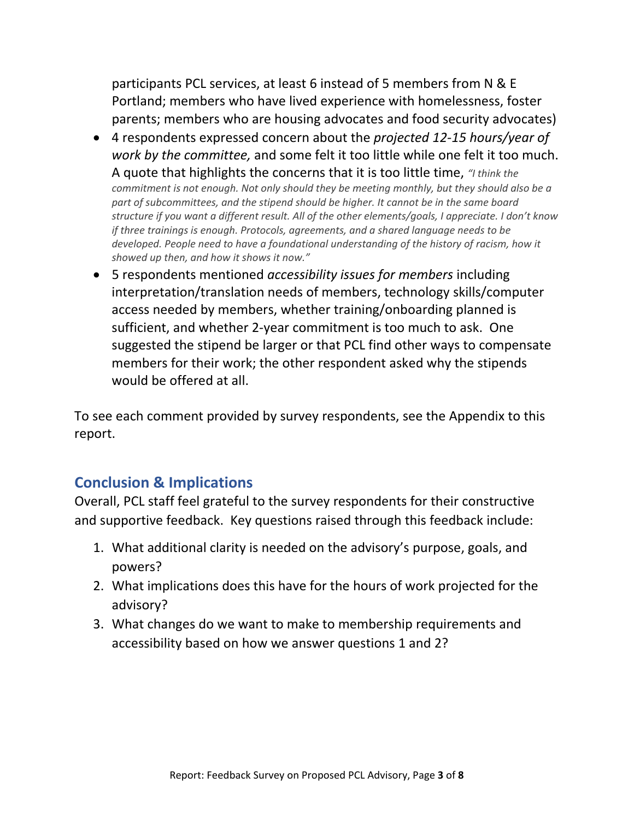participants PCL services, at least 6 instead of 5 members from N & E Portland; members who have lived experience with homelessness, foster parents; members who are housing advocates and food security advocates)

- 4 respondents expressed concern about the *projected 12-15 hours/year of work by the committee,* and some felt it too little while one felt it too much. A quote that highlights the concerns that it is too little time, *"I think the commitment is not enough. Not only should they be meeting monthly, but they should also be a part of subcommittees, and the stipend should be higher. It cannot be in the same board structure if you want a different result. All of the other elements/goals, I appreciate. I don't know if three trainings is enough. Protocols, agreements, and a shared language needs to be developed. People need to have a foundational understanding of the history of racism, how it showed up then, and how it shows it now."*
- 5 respondents mentioned *accessibility issues for members* including interpretation/translation needs of members, technology skills/computer access needed by members, whether training/onboarding planned is sufficient, and whether 2-year commitment is too much to ask. One suggested the stipend be larger or that PCL find other ways to compensate members for their work; the other respondent asked why the stipends would be offered at all.

To see each comment provided by survey respondents, see the Appendix to this report.

## **Conclusion & Implications**

Overall, PCL staff feel grateful to the survey respondents for their constructive and supportive feedback. Key questions raised through this feedback include:

- 1. What additional clarity is needed on the advisory's purpose, goals, and powers?
- 2. What implications does this have for the hours of work projected for the advisory?
- 3. What changes do we want to make to membership requirements and accessibility based on how we answer questions 1 and 2?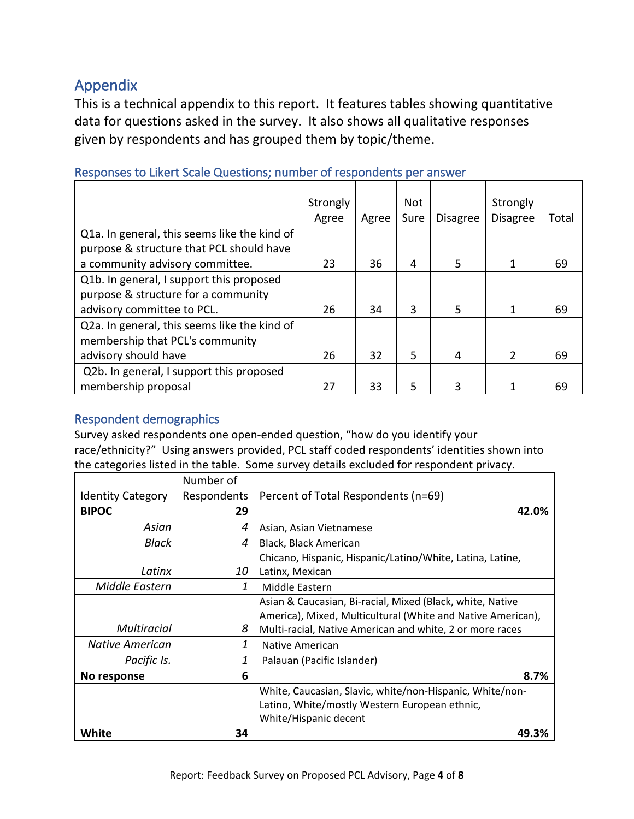# Appendix

This is a technical appendix to this report. It features tables showing quantitative data for questions asked in the survey. It also shows all qualitative responses given by respondents and has grouped them by topic/theme.

|                                              | Strongly |       | <b>Not</b> |                 | Strongly        |       |
|----------------------------------------------|----------|-------|------------|-----------------|-----------------|-------|
|                                              | Agree    | Agree | Sure       | <b>Disagree</b> | <b>Disagree</b> | Total |
| Q1a. In general, this seems like the kind of |          |       |            |                 |                 |       |
| purpose & structure that PCL should have     |          |       |            |                 |                 |       |
| a community advisory committee.              | 23       | 36    | 4          | 5               | 1               | 69    |
| Q1b. In general, I support this proposed     |          |       |            |                 |                 |       |
| purpose & structure for a community          |          |       |            |                 |                 |       |
| advisory committee to PCL.                   | 26       | 34    | 3          | 5               | 1               | 69    |
| Q2a. In general, this seems like the kind of |          |       |            |                 |                 |       |
| membership that PCL's community              |          |       |            |                 |                 |       |
| advisory should have                         | 26       | 32    | 5          | 4               | $\overline{2}$  | 69    |
| Q2b. In general, I support this proposed     |          |       |            |                 |                 |       |
| membership proposal                          | 27       | 33    | .5         | 3               |                 | 69    |

## Responses to Likert Scale Questions; number of respondents per answer

## Respondent demographics

Survey asked respondents one open-ended question, "how do you identify your race/ethnicity?" Using answers provided, PCL staff coded respondents' identities shown into the categories listed in the table. Some survey details excluded for respondent privacy.

|                          | Number of   |                                                             |
|--------------------------|-------------|-------------------------------------------------------------|
| <b>Identity Category</b> | Respondents | Percent of Total Respondents (n=69)                         |
| <b>BIPOC</b>             | 29          | 42.0%                                                       |
| Asian                    | 4           | Asian, Asian Vietnamese                                     |
| Black                    | 4           | Black, Black American                                       |
|                          |             | Chicano, Hispanic, Hispanic/Latino/White, Latina, Latine,   |
| Latinx                   | 10          | Latinx, Mexican                                             |
| Middle Eastern           | 1           | Middle Eastern                                              |
|                          |             | Asian & Caucasian, Bi-racial, Mixed (Black, white, Native   |
|                          |             | America), Mixed, Multicultural (White and Native American), |
| <b>Multiracial</b>       | 8           | Multi-racial, Native American and white, 2 or more races    |
| <b>Native American</b>   | 1           | <b>Native American</b>                                      |
| Pacific Is.              | 1           | Palauan (Pacific Islander)                                  |
| No response              | 6           | 8.7%                                                        |
|                          |             | White, Caucasian, Slavic, white/non-Hispanic, White/non-    |
|                          |             | Latino, White/mostly Western European ethnic,               |
|                          |             | White/Hispanic decent                                       |
| White                    | 34          | 49.3%                                                       |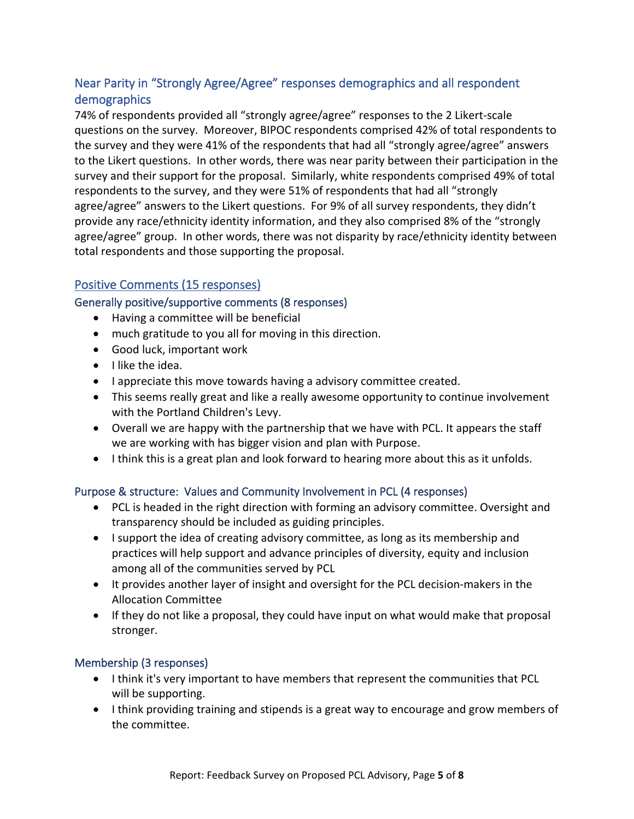## Near Parity in "Strongly Agree/Agree" responses demographics and all respondent demographics

74% of respondents provided all "strongly agree/agree" responses to the 2 Likert-scale questions on the survey. Moreover, BIPOC respondents comprised 42% of total respondents to the survey and they were 41% of the respondents that had all "strongly agree/agree" answers to the Likert questions. In other words, there was near parity between their participation in the survey and their support for the proposal. Similarly, white respondents comprised 49% of total respondents to the survey, and they were 51% of respondents that had all "strongly agree/agree" answers to the Likert questions. For 9% of all survey respondents, they didn't provide any race/ethnicity identity information, and they also comprised 8% of the "strongly agree/agree" group. In other words, there was not disparity by race/ethnicity identity between total respondents and those supporting the proposal.

## Positive Comments (15 responses)

#### Generally positive/supportive comments (8 responses)

- Having a committee will be beneficial
- much gratitude to you all for moving in this direction.
- Good luck, important work
- I like the idea.
- I appreciate this move towards having a advisory committee created.
- This seems really great and like a really awesome opportunity to continue involvement with the Portland Children's Levy.
- Overall we are happy with the partnership that we have with PCL. It appears the staff we are working with has bigger vision and plan with Purpose.
- I think this is a great plan and look forward to hearing more about this as it unfolds.

#### Purpose & structure: Values and Community Involvement in PCL (4 responses)

- PCL is headed in the right direction with forming an advisory committee. Oversight and transparency should be included as guiding principles.
- I support the idea of creating advisory committee, as long as its membership and practices will help support and advance principles of diversity, equity and inclusion among all of the communities served by PCL
- It provides another layer of insight and oversight for the PCL decision-makers in the Allocation Committee
- If they do not like a proposal, they could have input on what would make that proposal stronger.

#### Membership (3 responses)

- I think it's very important to have members that represent the communities that PCL will be supporting.
- I think providing training and stipends is a great way to encourage and grow members of the committee.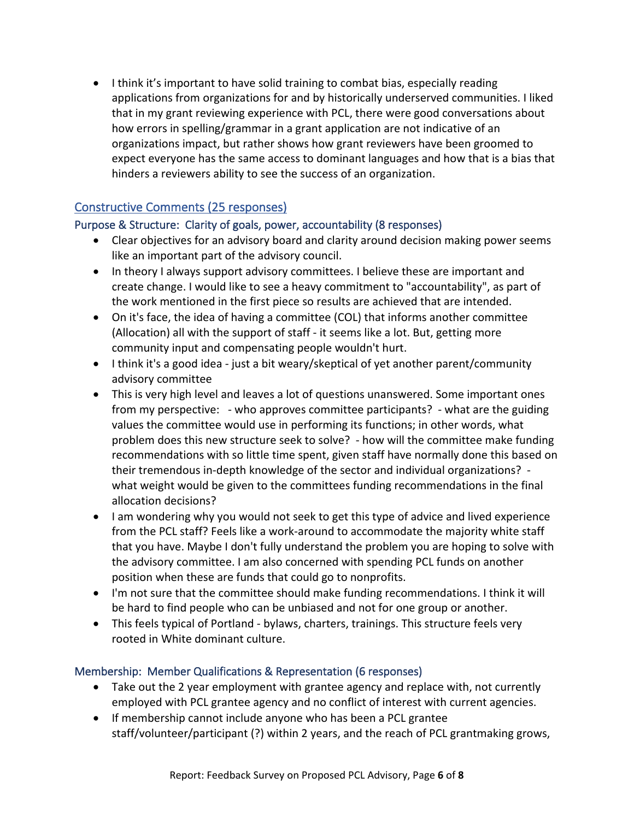• I think it's important to have solid training to combat bias, especially reading applications from organizations for and by historically underserved communities. I liked that in my grant reviewing experience with PCL, there were good conversations about how errors in spelling/grammar in a grant application are not indicative of an organizations impact, but rather shows how grant reviewers have been groomed to expect everyone has the same access to dominant languages and how that is a bias that hinders a reviewers ability to see the success of an organization.

#### Constructive Comments (25 responses)

#### Purpose & Structure: Clarity of goals, power, accountability (8 responses)

- Clear objectives for an advisory board and clarity around decision making power seems like an important part of the advisory council.
- In theory I always support advisory committees. I believe these are important and create change. I would like to see a heavy commitment to "accountability", as part of the work mentioned in the first piece so results are achieved that are intended.
- On it's face, the idea of having a committee (COL) that informs another committee (Allocation) all with the support of staff - it seems like a lot. But, getting more community input and compensating people wouldn't hurt.
- I think it's a good idea just a bit weary/skeptical of yet another parent/community advisory committee
- This is very high level and leaves a lot of questions unanswered. Some important ones from my perspective: - who approves committee participants? - what are the guiding values the committee would use in performing its functions; in other words, what problem does this new structure seek to solve? - how will the committee make funding recommendations with so little time spent, given staff have normally done this based on their tremendous in-depth knowledge of the sector and individual organizations? what weight would be given to the committees funding recommendations in the final allocation decisions?
- I am wondering why you would not seek to get this type of advice and lived experience from the PCL staff? Feels like a work-around to accommodate the majority white staff that you have. Maybe I don't fully understand the problem you are hoping to solve with the advisory committee. I am also concerned with spending PCL funds on another position when these are funds that could go to nonprofits.
- I'm not sure that the committee should make funding recommendations. I think it will be hard to find people who can be unbiased and not for one group or another.
- This feels typical of Portland bylaws, charters, trainings. This structure feels very rooted in White dominant culture.

#### Membership: Member Qualifications & Representation (6 responses)

- Take out the 2 year employment with grantee agency and replace with, not currently employed with PCL grantee agency and no conflict of interest with current agencies.
- If membership cannot include anyone who has been a PCL grantee staff/volunteer/participant (?) within 2 years, and the reach of PCL grantmaking grows,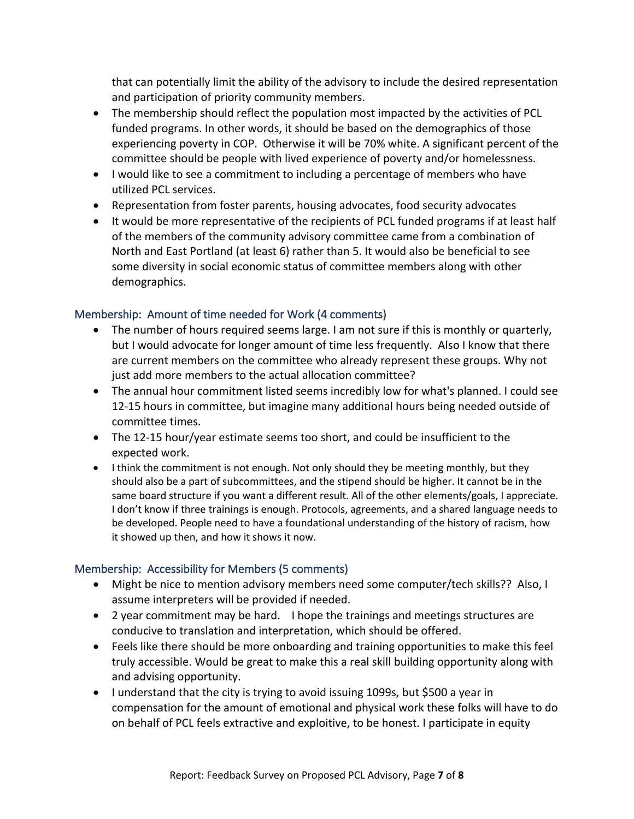that can potentially limit the ability of the advisory to include the desired representation and participation of priority community members.

- The membership should reflect the population most impacted by the activities of PCL funded programs. In other words, it should be based on the demographics of those experiencing poverty in COP. Otherwise it will be 70% white. A significant percent of the committee should be people with lived experience of poverty and/or homelessness.
- I would like to see a commitment to including a percentage of members who have utilized PCL services.
- Representation from foster parents, housing advocates, food security advocates
- It would be more representative of the recipients of PCL funded programs if at least half of the members of the community advisory committee came from a combination of North and East Portland (at least 6) rather than 5. It would also be beneficial to see some diversity in social economic status of committee members along with other demographics.

#### Membership: Amount of time needed for Work (4 comments)

- The number of hours required seems large. I am not sure if this is monthly or quarterly, but I would advocate for longer amount of time less frequently. Also I know that there are current members on the committee who already represent these groups. Why not just add more members to the actual allocation committee?
- The annual hour commitment listed seems incredibly low for what's planned. I could see 12-15 hours in committee, but imagine many additional hours being needed outside of committee times.
- The 12-15 hour/year estimate seems too short, and could be insufficient to the expected work.
- I think the commitment is not enough. Not only should they be meeting monthly, but they should also be a part of subcommittees, and the stipend should be higher. It cannot be in the same board structure if you want a different result. All of the other elements/goals, I appreciate. I don't know if three trainings is enough. Protocols, agreements, and a shared language needs to be developed. People need to have a foundational understanding of the history of racism, how it showed up then, and how it shows it now.

#### Membership: Accessibility for Members (5 comments)

- Might be nice to mention advisory members need some computer/tech skills?? Also, I assume interpreters will be provided if needed.
- 2 year commitment may be hard. I hope the trainings and meetings structures are conducive to translation and interpretation, which should be offered.
- Feels like there should be more onboarding and training opportunities to make this feel truly accessible. Would be great to make this a real skill building opportunity along with and advising opportunity.
- I understand that the city is trying to avoid issuing 1099s, but \$500 a year in compensation for the amount of emotional and physical work these folks will have to do on behalf of PCL feels extractive and exploitive, to be honest. I participate in equity